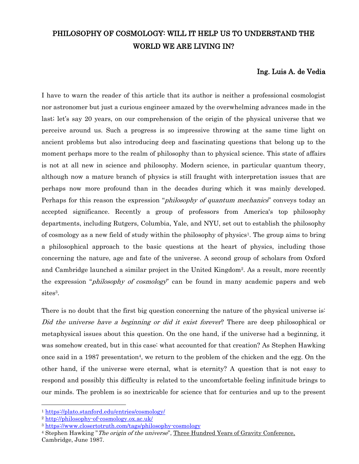# PHILOSOPHY OF COSMOLOGY: WILL IT HELP US TO UNDERSTAND THE WORLD WE ARE LIVING IN?

## Ing. Luis A. de Vedia

I have to warn the reader of this article that its author is neither a professional cosmologist nor astronomer but just a curious engineer amazed by the overwhelming advances made in the last; let's say 20 years, on our comprehension of the origin of the physical universe that we perceive around us. Such a progress is so impressive throwing at the same time light on ancient problems but also introducing deep and fascinating questions that belong up to the moment perhaps more to the realm of philosophy than to physical science. This state of affairs is not at all new in science and philosophy. Modern science, in particular quantum theory, although now a mature branch of physics is still fraught with interpretation issues that are perhaps now more profound than in the decades during which it was mainly developed. Perhaps for this reason the expression "*philosophy of quantum mechanics*" conveys today an accepted significance. Recently a group of professors from America's top philosophy departments, including Rutgers, Columbia, Yale, and NYU, set out to establish the philosophy of cosmology as a new field of study within the philosophy of physics<sup>1</sup>. The group aims to bring a philosophical approach to the basic questions at the heart of physics, including those concerning the nature, age and fate of the universe. A second group of scholars from Oxford and Cambridge launched a similar project in the United Kingdom<sup>2</sup> . As a result, more recently the expression "*philosophy of cosmology*" can be found in many academic papers and web sites<sup>3</sup>.

There is no doubt that the first big question concerning the nature of the physical universe is: Did the universe have a beginning or did it exist forever? There are deep philosophical or metaphysical issues about this question. On the one hand, if the universe had a beginning, it was somehow created, but in this case: what accounted for that creation? As Stephen Hawking once said in a 1987 presentation<sup>4</sup>, we return to the problem of the chicken and the egg. On the other hand, if the universe were eternal, what is eternity? A question that is not easy to respond and possibly this difficulty is related to the uncomfortable feeling infinitude brings to our minds. The problem is so inextricable for science that for centuries and up to the present

<sup>1</sup> <https://plato.stanford.edu/entries/cosmology/>

<sup>2</sup> <http://philosophy-of-cosmology.ox.ac.uk/>

<sup>3</sup> <https://www.closertotruth.com/tags/philosophy-cosmology>

<sup>&</sup>lt;sup>4</sup> Stephen Hawking "The origin of the universe", Three Hundred Years of Gravity Conference, Cambridge, June 1987.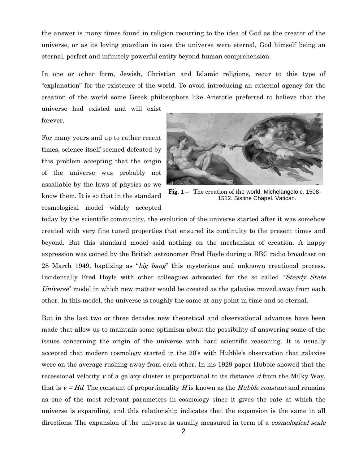the answer is many times found in religion recurring to the idea of God as the creator of the universe, or as its loving guardian in case the universe were eternal, God himself being an eternal, perfect and infinitely powerful entity beyond human comprehension.

In one or other form, Jewish, Christian and Islamic religions, recur to this type of "explanation" for the existence of the world. To avoid introducing an external agency for the creation of the world some Greek philosophers like Aristotle preferred to believe that the universe had existed and will exist

forever.

For many years and up to rather recent times, science itself seemed defeated by this problem accepting that the origin of the universe was probably not assailable by the laws of physics as we know them. It is so that in the standard cosmological model widely accepted



Fig. 1 – The creation of the world. Michelangelo c. 1508-1512. Sistine Chapel. Vatican.

today by the scientific community, the evolution of the universe started after it was somehow created with very fine tuned properties that ensured its continuity to the present times and beyond. But this standard model said nothing on the mechanism of creation. A happy expression was coined by the British astronomer Fred Hoyle during a BBC radio broadcast on 28 March 1949, baptizing as "big bang" this mysterious and unknown creational process. Incidentally Fred Hoyle with other colleagues advocated for the so called "Steady State" Universe" model in which new matter would be created as the galaxies moved away from each other. In this model, the universe is roughly the same at any point in time and so eternal.

But in the last two or three decades new theoretical and observational advances have been made that allow us to maintain some optimism about the possibility of answering some of the issues concerning the origin of the universe with hard scientific reasoning. It is usually accepted that modern cosmology started in the 20's with Hubble's observation that galaxies were on the average rushing away from each other. In his 1929 paper Hubble showed that the recessional velocity  $v$  of a galaxy cluster is proportional to its distance  $d$  from the Milky Way, that is  $v = Hd$ . The constant of proportionality H is known as the Hubble constant and remains as one of the most relevant parameters in cosmology since it gives the rate at which the universe is expanding, and this relationship indicates that the expansion is the same in all directions. The expansion of the universe is usually measured in term of a *cosmological scale*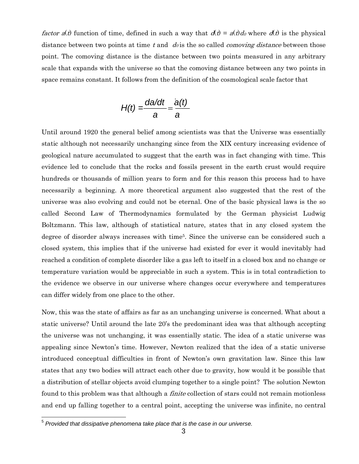*factor*  $a(t)$  function of time, defined in such a way that  $d(t) = a(t) d_0$  where  $d(t)$  is the physical distance between two points at time t and  $d\theta$  is the so called *comoving distance* between those point. The comoving distance is the distance between two points measured in any arbitrary scale that expands with the universe so that the comoving distance between any two points in space remains constant. It follows from the definition of the cosmological scale factor that

$$
H(t) = \frac{da/dt}{a} = \frac{a(t)}{a}
$$

Until around 1920 the general belief among scientists was that the Universe was essentially static although not necessarily unchanging since from the XIX century increasing evidence of geological nature accumulated to suggest that the earth was in fact changing with time. This evidence led to conclude that the rocks and fossils present in the earth crust would require hundreds or thousands of million years to form and for this reason this process had to have necessarily a beginning. A more theoretical argument also suggested that the rest of the universe was also evolving and could not be eternal. One of the basic physical laws is the so called Second Law of Thermodynamics formulated by the German physicist Ludwig Boltzmann. This law, although of statistical nature, states that in any closed system the degree of disorder always increases with time<sup>5</sup>. Since the universe can be considered such a closed system, this implies that if the universe had existed for ever it would inevitably had reached a condition of complete disorder like a gas left to itself in a closed box and no change or temperature variation would be appreciable in such a system. This is in total contradiction to the evidence we observe in our universe where changes occur everywhere and temperatures can differ widely from one place to the other.

Now, this was the state of affairs as far as an unchanging universe is concerned. What about a static universe? Until around the late 20's the predominant idea was that although accepting the universe was not unchanging, it was essentially static. The idea of a static universe was appealing since Newton's time. However, Newton realized that the idea of a static universe introduced conceptual difficulties in front of Newton's own gravitation law. Since this law states that any two bodies will attract each other due to gravity, how would it be possible that a distribution of stellar objects avoid clumping together to a single point? The solution Newton found to this problem was that although a *finite* collection of stars could not remain motionless and end up falling together to a central point, accepting the universe was infinite, no central

 5 *Provided that dissipative phenomena take place that is the case in our universe.*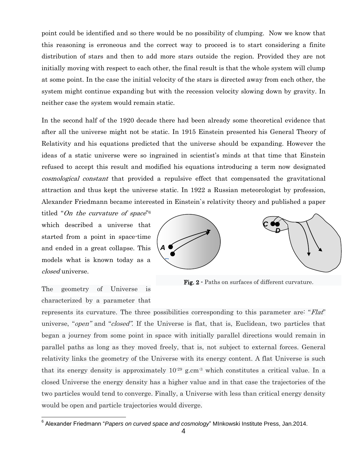point could be identified and so there would be no possibility of clumping. Now we know that this reasoning is erroneous and the correct way to proceed is to start considering a finite distribution of stars and then to add more stars outside the region. Provided they are not initially moving with respect to each other, the final result is that the whole system will clump at some point. In the case the initial velocity of the stars is directed away from each other, the system might continue expanding but with the recession velocity slowing down by gravity. In neither case the system would remain static.

In the second half of the 1920 decade there had been already some theoretical evidence that after all the universe might not be static. In 1915 Einstein presented his General Theory of Relativity and his equations predicted that the universe should be expanding. However the ideas of a static universe were so ingrained in scientist's minds at that time that Einstein refused to accept this result and modified his equations introducing a term now designated cosmological constant that provided a repulsive effect that compensated the gravitational attraction and thus kept the universe static. In 1922 a Russian meteorologist by profession, Alexander Friedmann became interested in Einstein`s relativity theory and published a paper

titled "On the curvature of space"<sup>6</sup> which described a universe that started from a point in space-time and ended in a great collapse. This models what is known today as a closed universe.



Fig. 2 - Paths on surfaces of different curvature.

The geometry of Universe is characterized by a parameter that

represents its curvature. The three possibilities corresponding to this parameter are: "Flat" universe, "*open*" and "*closed*". If the Universe is flat, that is, Euclidean, two particles that began a journey from some point in space with initially parallel directions would remain in parallel paths as long as they moved freely, that is, not subject to external forces. General relativity links the geometry of the Universe with its energy content. A flat Universe is such that its energy density is approximately  $10^{-29}$  g.cm<sup>-3</sup> which constitutes a critical value. In a closed Universe the energy density has a higher value and in that case the trajectories of the two particles would tend to converge. Finally, a Universe with less than critical energy density would be open and particle trajectories would diverge.

 6 Alexander Friedmann "*Papers on curved space and cosmology*" MInkowski Institute Press, Jan.2014.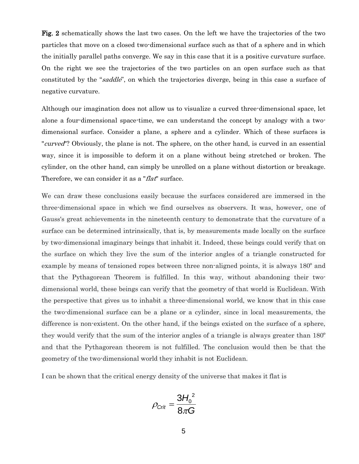Fig. 2 schematically shows the last two cases. On the left we have the trajectories of the two particles that move on a closed two-dimensional surface such as that of a sphere and in which the initially parallel paths converge. We say in this case that it is a positive curvature surface. **a b** On the right we see the trajectories of the two particles on an open surface such as that constituted by the "*saddle*", on which the trajectories diverge, being in this case a surface of negative curvature.

Although our imagination does not allow us to visualize a curved three-dimensional space, let alone a four-dimensional space-time, we can understand the concept by analogy with a twodimensional surface. Consider a plane, a sphere and a cylinder. Which of these surfaces is "*curved*"? Obviously, the plane is not. The sphere, on the other hand, is curved in an essential way, since it is impossible to deform it on a plane without being stretched or broken. The cylinder, on the other hand, can simply be unrolled on a plane without distortion or breakage. Therefore, we can consider it as a "*flat*" surface.

We can draw these conclusions easily because the surfaces considered are immersed in the three-dimensional space in which we find ourselves as observers. It was, however, one of Gauss's great achievements in the nineteenth century to demonstrate that the curvature of a surface can be determined intrinsically, that is, by measurements made locally on the surface by two-dimensional imaginary beings that inhabit it. Indeed, these beings could verify that on the surface on which they live the sum of the interior angles of a triangle constructed for example by means of tensioned ropes between three non-aligned points, it is always 180º and that the Pythagorean Theorem is fulfilled. In this way, without abandoning their twodimensional world, these beings can verify that the geometry of that world is Euclidean. With the perspective that gives us to inhabit a three-dimensional world, we know that in this case the two-dimensional surface can be a plane or a cylinder, since in local measurements, the difference is non-existent. On the other hand, if the beings existed on the surface of a sphere, they would verify that the sum of the interior angles of a triangle is always greater than 180º and that the Pythagorean theorem is not fulfilled. The conclusion would then be that the geometry of the two-dimensional world they inhabit is not Euclidean.

I can be shown that the critical energy density of the universe that makes it flat is

$$
\rho_{\text{Crft}} = \frac{3H_0^2}{8\pi G}
$$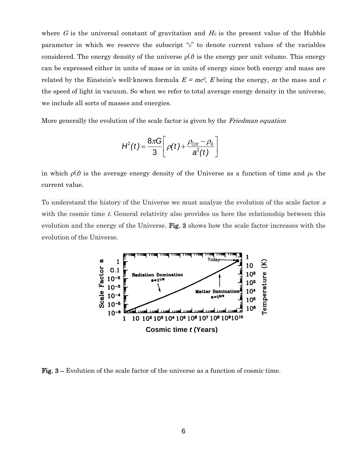where G is the universal constant of gravitation and  $H_0$  is the present value of the Hubble parameter in which we reserve the subscript "0" to denote current values of the variables considered. The energy density of the universe  $\rho(t)$  is the energy per unit volume. This energy can be expressed either in units of mass or in units of energy since both energy and mass are related by the Einstein's well-known formula  $E = mc^2$ , E being the energy, m the mass and c the speed of light in vacuum. So when we refer to total average energy density in the universe, we include all sorts of masses and energies.

More generally the evolution of the scale factor is given by the *Friedman equation* 

$$
H^{2}(t) = \frac{8\pi G}{3}\left[\rho(t) + \frac{\rho_{\text{Crit}} - \rho_0}{a^2(t)}\right]
$$

in which  $\rho(t)$  is the average energy density of the Universe as a function of time and  $\rho_0$  the current value.

To understand the history of the Universe we must analyze the evolution of the scale factor <sup>a</sup> with the cosmic time  $t$ . General relativity also provides us here the relationship between this evolution and the energy of the Universe. Fig. 3 shows how the scale factor increases with the evolution of the Universe.



Fig. 3 – Evolution of the scale factor of the universe as a function of cosmic time.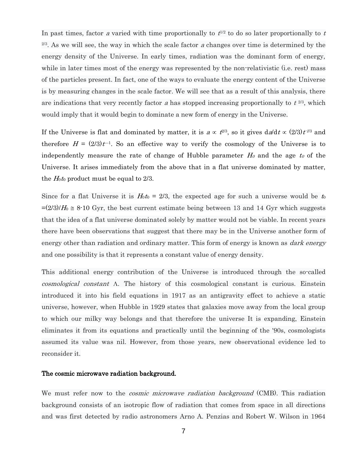In past times, factor a varied with time proportionally to  $t^{1/2}$  to do so later proportionally to t  $2^{2/3}$ . As we will see, the way in which the scale factor a changes over time is determined by the energy density of the Universe. In early times, radiation was the dominant form of energy, while in later times most of the energy was represented by the non-relativistic (i.e. rest) mass of the particles present. In fact, one of the ways to evaluate the energy content of the Universe is by measuring changes in the scale factor. We will see that as a result of this analysis, there are indications that very recently factor a has stopped increasing proportionally to  $t^{2/3}$ , which would imply that it would begin to dominate a new form of energy in the Universe.

If the Universe is flat and dominated by matter, it is  $a \propto t^{2/3}$ , so it gives  $\frac{da}{dt} \propto (2/3)t^{1/3}$  and therefore  $H = (2/3)t^{-1}$ . So an effective way to verify the cosmology of the Universe is to independently measure the rate of change of Hubble parameter  $H_0$  and the age t<sub>0</sub> of the Universe. It arises immediately from the above that in a flat universe dominated by matter, the  $H_0t_0$  product must be equal to 2/3.

Since for a flat Universe it is  $H_0t_0 = 2/3$ , the expected age for such a universe would be  $t_0$  $=(2/3)/H_0 \approx 8.10$  Gyr, the best current estimate being between 13 and 14 Gyr which suggests that the idea of a flat universe dominated solely by matter would not be viable. In recent years there have been observations that suggest that there may be in the Universe another form of energy other than radiation and ordinary matter. This form of energy is known as *dark energy* and one possibility is that it represents a constant value of energy density.

This additional energy contribution of the Universe is introduced through the so-called  $cosmological constant$   $\Lambda$ . The history of this cosmological constant is curious. Einstein introduced it into his field equations in 1917 as an antigravity effect to achieve a static universe, however, when Hubble in 1929 states that galaxies move away from the local group to which our milky way belongs and that therefore the universe It is expanding, Einstein eliminates it from its equations and practically until the beginning of the '90s, cosmologists assumed its value was nil. However, from those years, new observational evidence led to reconsider it.

#### The cosmic microwave radiation background.

We must refer now to the *cosmic microwave radiation background* (CMB). This radiation background consists of an isotropic flow of radiation that comes from space in all directions and was first detected by radio astronomers Arno A. Penzias and Robert W. Wilson in 1964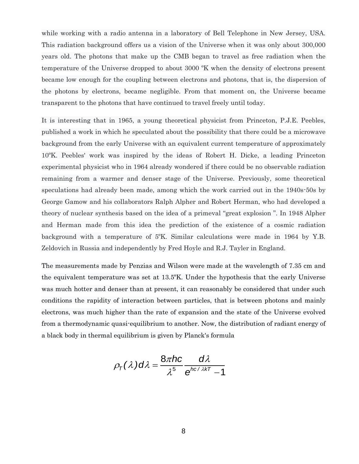while working with a radio antenna in a laboratory of Bell Telephone in New Jersey, USA. This radiation background offers us a vision of the Universe when it was only about 300,000 years old. The photons that make up the CMB began to travel as free radiation when the temperature of the Universe dropped to about 3000 ºK when the density of electrons present became low enough for the coupling between electrons and photons, that is, the dispersion of the photons by electrons, became negligible. From that moment on, the Universe became transparent to the photons that have continued to travel freely until today.

It is interesting that in 1965, a young theoretical physicist from Princeton, P.J.E. Peebles, published a work in which he speculated about the possibility that there could be a microwave background from the early Universe with an equivalent current temperature of approximately 10ºK. Peebles' work was inspired by the ideas of Robert H. Dicke, a leading Princeton experimental physicist who in 1964 already wondered if there could be no observable radiation remaining from a warmer and denser stage of the Universe. Previously, some theoretical speculations had already been made, among which the work carried out in the 1940s-50s by George Gamow and his collaborators Ralph Alpher and Robert Herman, who had developed a theory of nuclear synthesis based on the idea of a primeval "great explosion ". In 1948 Alpher and Herman made from this idea the prediction of the existence of a cosmic radiation background with a temperature of 5ºK. Similar calculations were made in 1964 by Y.B. Zeldovich in Russia and independently by Fred Hoyle and R.J. Tayler in England.

The measurements made by Penzias and Wilson were made at the wavelength of 7.35 cm and the equivalent temperature was set at 13.5ºK. Under the hypothesis that the early Universe was much hotter and denser than at present, it can reasonably be considered that under such conditions the rapidity of interaction between particles, that is between photons and mainly electrons, was much higher than the rate of expansion and the state of the Universe evolved from a thermodynamic quasi-equilibrium to another. Now, the distribution of radiant energy of a black body in thermal equilibrium is given by Planck's formula

$$
\rho_{\tau}(\lambda) d\lambda = \frac{8\pi hc}{\lambda^5} \frac{d\lambda}{e^{hc/\lambda kT} - 1}
$$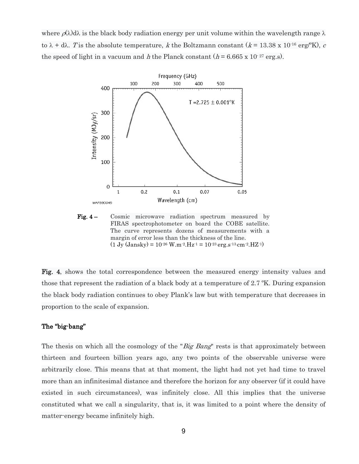where  $\rho(\lambda) d\lambda$  is the black body radiation energy per unit volume within the wavelength range  $\lambda$ to  $\lambda$  + d $\lambda$ . T is the absolute temperature, k the Boltzmann constant (k = 13.38 x 10<sup>-16</sup> erg/<sup>o</sup>K), c the speed of light in a vacuum and h the Planck constant  $(h = 6.665 \times 10^{-27} \text{ erg.s}).$ 



Fig. 4 – Cosmic microwave radiation spectrum measured by FIRAS spectrophotometer on board the COBE satellite. The curve represents dozens of measurements with a margin of error less than the thickness of the line.  $(1 \text{ Jy (Jansky)} = 10^{-26} \text{ W.m}^{-2} \text{.Hz}^{-1} = 10^{-23} \text{ erg.s}^{-13} \text{cm}^{-2} \text{.HZ}^{-1}$ 

Fig. 4, shows the total correspondence between the measured energy intensity values and those that represent the radiation of a black body at a temperature of 2.7 ºK. During expansion the black body radiation continues to obey Plank's law but with temperature that decreases in proportion to the scale of expansion.

#### The "big-bang"

The thesis on which all the cosmology of the "Big Bang" rests is that approximately between thirteen and fourteen billion years ago, any two points of the observable universe were arbitrarily close. This means that at that moment, the light had not yet had time to travel more than an infinitesimal distance and therefore the horizon for any observer (if it could have existed in such circumstances), was infinitely close. All this implies that the universe constituted what we call a singularity, that is, it was limited to a point where the density of matter-energy became infinitely high.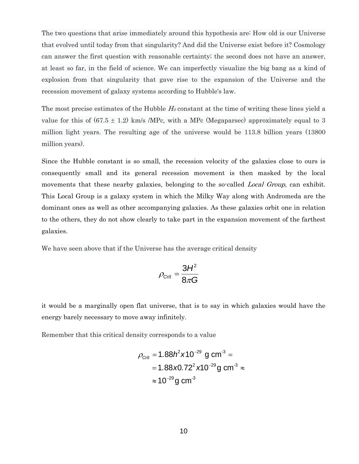The two questions that arise immediately around this hypothesis are: How old is our Universe that evolved until today from that singularity? And did the Universe exist before it? Cosmology can answer the first question with reasonable certainty; the second does not have an answer, at least so far, in the field of science. We can imperfectly visualize the big bang as a kind of explosion from that singularity that gave rise to the expansion of the Universe and the recession movement of galaxy systems according to Hubble's law.

The most precise estimates of the Hubble  $H_0$  constant at the time of writing these lines yield a value for this of  $(67.5 \pm 1.2)$  km/s /MPc, with a MPc (Megaparsec) approximately equal to 3 million light years. The resulting age of the universe would be 113.8 billion years (13800 million years).

Since the Hubble constant is so small, the recession velocity of the galaxies close to ours is consequently small and its general recession movement is then masked by the local movements that these nearby galaxies, belonging to the so-called *Local Group*, can exhibit. This Local Group is a galaxy system in which the Milky Way along with Andromeda are the dominant ones as well as other accompanying galaxies. As these galaxies orbit one in relation to the others, they do not show clearly to take part in the expansion movement of the farthest galaxies.

We have seen above that if the Universe has the average critical density

$$
\rho_{\text{Crit}} = \frac{3H^2}{8\pi G}
$$

it would be a marginally open flat universe, that is to say in which galaxies would have the energy barely necessary to move away infinitely.

Remember that this critical density corresponds to a value

$$
\rho_{\text{Crft}} = 1.88 h^2 \times 10^{-29} \text{ g cm}^{-3} =
$$
  
= 1.88 \times 0.72<sup>2</sup> \times 10<sup>-29</sup> g cm<sup>-3</sup>  $\approx$   
 $\approx 10^{-29} \text{ g cm}^{-3}$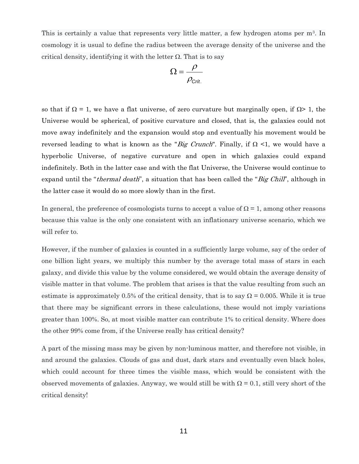This is certainly a value that represents very little matter, a few hydrogen atoms per m<sup>3</sup>. In cosmology it is usual to define the radius between the average density of the universe and the critical density, identifying it with the letter  $\Omega$ . That is to say

$$
\Omega = \frac{\rho}{\rho_{\text{Crit.}}}
$$

so that if  $\Omega = 1$ , we have a flat universe, of zero curvature but marginally open, if  $\Omega > 1$ , the Universe would be spherical, of positive curvature and closed, that is, the galaxies could not move away indefinitely and the expansion would stop and eventually his movement would be reversed leading to what is known as the "Big Crunch". Finally, if  $\Omega$  <1, we would have a hyperbolic Universe, of negative curvature and open in which galaxies could expand indefinitely. Both in the latter case and with the flat Universe, the Universe would continue to expand until the "*thermal death*", a situation that has been called the "*Big Chill*", although in the latter case it would do so more slowly than in the first.

In general, the preference of cosmologists turns to accept a value of  $\Omega = 1$ , among other reasons because this value is the only one consistent with an inflationary universe scenario, which we will refer to.

However, if the number of galaxies is counted in a sufficiently large volume, say of the order of one billion light years, we multiply this number by the average total mass of stars in each galaxy, and divide this value by the volume considered, we would obtain the average density of visible matter in that volume. The problem that arises is that the value resulting from such an estimate is approximately 0.5% of the critical density, that is to say  $\Omega = 0.005$ . While it is true that there may be significant errors in these calculations, these would not imply variations greater than 100%. So, at most visible matter can contribute 1% to critical density. Where does the other 99% come from, if the Universe really has critical density?

A part of the missing mass may be given by non-luminous matter, and therefore not visible, in and around the galaxies. Clouds of gas and dust, dark stars and eventually even black holes, which could account for three times the visible mass, which would be consistent with the observed movements of galaxies. Anyway, we would still be with  $\Omega = 0.1$ , still very short of the critical density!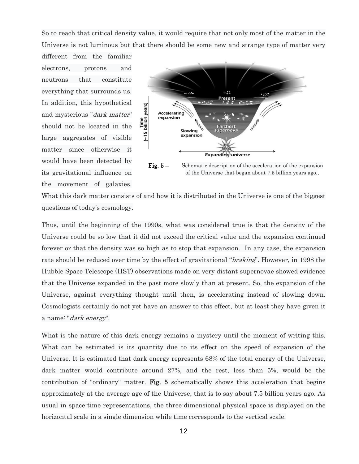So to reach that critical density value, it would require that not only most of the matter in the Universe is not luminous but that there should be some new and strange type of matter very

different from the familiar electrons, protons and neutrons that constitute everything that surrounds us. In addition, this hypothetical and mysterious "dark matter" should not be located in the large aggregates of visible matter since otherwise it would have been detected by its gravitational influence on the movement of galaxies.



of the Universe that began about 7.5 billion years ago..

What this dark matter consists of and how it is distributed in the Universe is one of the biggest questions of today's cosmology.

Thus, until the beginning of the 1990s, what was considered true is that the density of the Universe could be so low that it did not exceed the critical value and the expansion continued forever or that the density was so high as to stop that expansion. In any case, the expansion rate should be reduced over time by the effect of gravitational "*braking*". However, in 1998 the Hubble Space Telescope (HST) observations made on very distant supernovae showed evidence that the Universe expanded in the past more slowly than at present. So, the expansion of the Universe, against everything thought until then, is accelerating instead of slowing down. Cosmologists certainly do not yet have an answer to this effect, but at least they have given it a name: "*dark energy*".

What is the nature of this dark energy remains a mystery until the moment of writing this. What can be estimated is its quantity due to its effect on the speed of expansion of the Universe. It is estimated that dark energy represents 68% of the total energy of the Universe, dark matter would contribute around 27%, and the rest, less than 5%, would be the contribution of "ordinary" matter. Fig. 5 schematically shows this acceleration that begins approximately at the average age of the Universe, that is to say about 7.5 billion years ago. As usual in space-time representations, the three-dimensional physical space is displayed on the horizontal scale in a single dimension while time corresponds to the vertical scale.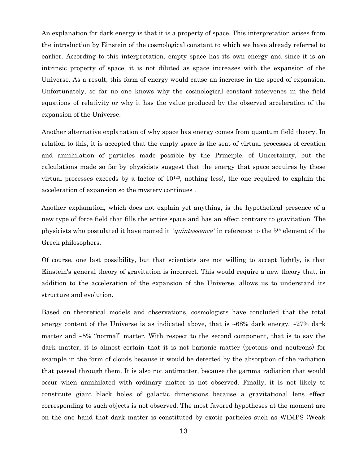An explanation for dark energy is that it is a property of space. This interpretation arises from the introduction by Einstein of the cosmological constant to which we have already referred to earlier. According to this interpretation, empty space has its own energy and since it is an intrinsic property of space, it is not diluted as space increases with the expansion of the Universe. As a result, this form of energy would cause an increase in the speed of expansion. Unfortunately, so far no one knows why the cosmological constant intervenes in the field equations of relativity or why it has the value produced by the observed acceleration of the expansion of the Universe.

Another alternative explanation of why space has energy comes from quantum field theory. In relation to this, it is accepted that the empty space is the seat of virtual processes of creation and annihilation of particles made possible by the Principle. of Uncertainty, but the calculations made so far by physicists suggest that the energy that space acquires by these virtual processes exceeds by a factor of 10120, nothing less!, the one required to explain the acceleration of expansion so the mystery continues .

Another explanation, which does not explain yet anything, is the hypothetical presence of a new type of force field that fills the entire space and has an effect contrary to gravitation. The physicists who postulated it have named it "quintessence" in reference to the 5th element of the Greek philosophers.

Of course, one last possibility, but that scientists are not willing to accept lightly, is that Einstein's general theory of gravitation is incorrect. This would require a new theory that, in addition to the acceleration of the expansion of the Universe, allows us to understand its structure and evolution.

Based on theoretical models and observations, cosmologists have concluded that the total energy content of the Universe is as indicated above, that is  $\sim 68\%$  dark energy,  $\sim 27\%$  dark matter and  $\sim$  5% "normal" matter. With respect to the second component, that is to say the dark matter, it is almost certain that it is not barionic matter (protons and neutrons) for example in the form of clouds because it would be detected by the absorption of the radiation that passed through them. It is also not antimatter, because the gamma radiation that would occur when annihilated with ordinary matter is not observed. Finally, it is not likely to constitute giant black holes of galactic dimensions because a gravitational lens effect corresponding to such objects is not observed. The most favored hypotheses at the moment are on the one hand that dark matter is constituted by exotic particles such as WIMPS (Weak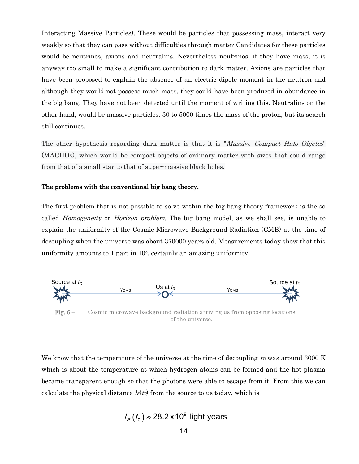Interacting Massive Particles). These would be particles that possessing mass, interact very weakly so that they can pass without difficulties through matter Candidates for these particles would be neutrinos, axions and neutralins. Nevertheless neutrinos, if they have mass, it is anyway too small to make a significant contribution to dark matter. Axions are particles that have been proposed to explain the absence of an electric dipole moment in the neutron and although they would not possess much mass, they could have been produced in abundance in the big bang. They have not been detected until the moment of writing this. Neutralins on the other hand, would be massive particles, 30 to 5000 times the mass of the proton, but its search still continues.

The other hypothesis regarding dark matter is that it is "*Massive Compact Halo Objetcs*" (MACHOs), which would be compact objects of ordinary matter with sizes that could range from that of a small star to that of super-massive black holes.

#### The problems with the conventional big bang theory.

The first problem that is not possible to solve within the big bang theory framework is the so called *Homogeneity* or *Horizon problem*. The big bang model, as we shall see, is unable to explain the uniformity of the Cosmic Microwave Background Radiation (CMB) at the time of decoupling when the universe was about 370000 years old. Measurements today show that this uniformity amounts to 1 part in 10<sup>5</sup>, certainly an amazing uniformity.



Fig. 6 – Cosmic microwave background radiation arriving us from opposing locations of the universe.

We know that the temperature of the universe at the time of decoupling  $t_D$  was around 3000 K which is about the temperature at which hydrogen atoms can be formed and the hot plasma became transparent enough so that the photons were able to escape from it. From this we can calculate the physical distance  $h(t_0)$  from the source to us today, which is

$$
I_P(t_0) \approx 28.2 \times 10^9
$$
 light years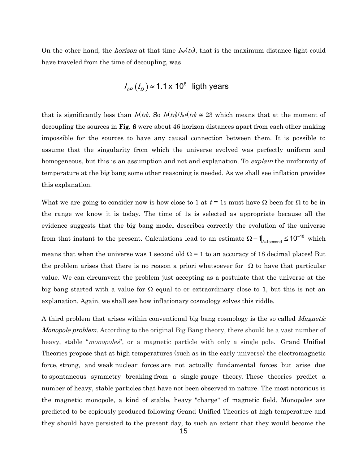On the other hand, the *horizon* at that time  $h_P(t_D)$ , that is the maximum distance light could have traveled from the time of decoupling, was

$$
I_{\text{hp}}(t_{\text{D}}) \approx 1.1 \times 10^6
$$
 light years

that is significantly less than  $l\not{p}(t_D)$ . So  $l\not{p}(t_D)/l\not{p}(t_D) \cong 23$  which means that at the moment of decoupling the sources in Fig. 6 were about 46 horizon distances apart from each other making impossible for the sources to have any causal connection between them. It is possible to assume that the singularity from which the universe evolved was perfectly uniform and homogeneous, but this is an assumption and not and explanation. To *explain* the uniformity of temperature at the big bang some other reasoning is needed. As we shall see inflation provides this explanation.

What we are going to consider now is how close to 1 at  $t = 1$ s must have  $\Omega$  been for  $\Omega$  to be in the range we know it is today. The time of 1s is selected as appropriate because all the evidence suggests that the big bang model describes correctly the evolution of the universe from that instant to the present. Calculations lead to an estimate  $|\Omega - 1|$ <sub>t=1second</sub>  $\leq 10^{-18}$  which means that when the universe was 1 second old  $\Omega = 1$  to an accuracy of 18 decimal places! But the problem arises that there is no reason a priori whatsoever for  $\Omega$  to have that particular value. We can circumvent the problem just accepting as a postulate that the universe at the big bang started with a value for  $\Omega$  equal to or extraordinary close to 1, but this is not an explanation. Again, we shall see how inflationary cosmology solves this riddle.

A third problem that arises within conventional big bang cosmology is the so called Magnetic *Monopole problem.* According to the original Big Bang theory, there should be a vast number of heavy, stable "*monopoles*", or a magnetic particle with only a single pole. Grand Unified [Theories](https://en.wikipedia.org/wiki/Grand_Unified_Theory) propose that at high temperatures (such as in the early universe) the [electromagnetic](https://en.wikipedia.org/wiki/Electromagnetic_force)  [force,](https://en.wikipedia.org/wiki/Electromagnetic_force) [strong,](https://en.wikipedia.org/wiki/Strong_nuclear_force) and [weak](https://en.wikipedia.org/wiki/Weak_nuclear_force) [nuclear forces](https://en.wikipedia.org/wiki/Nuclear_force) are not actually fundamental forces but arise due to [spontaneous symmetry breaking](https://en.wikipedia.org/wiki/Spontaneous_symmetry_breaking) from a single [gauge theory.](https://en.wikipedia.org/wiki/Gauge_theory) These theories predict a number of heavy, stable particles that have not been observed in nature. The most notorious is the magnetic monopole, a kind of stable, heavy "charge" of magnetic field. Monopoles are predicted to be copiously produced following Grand Unified Theories at high temperature and they should have persisted to the present day, to such an extent that they would become the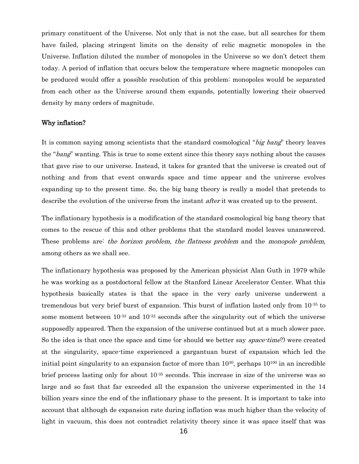primary constituent of the Universe. Not only that is not the case, but all searches for them have failed, placing stringent limits on the density of relic magnetic monopoles in the Universe. Inflation diluted the number of monopoles in the Universe so we don't detect them today. A period of inflation that occurs below the temperature where magnetic monopoles can be produced would offer a possible resolution of this problem: monopoles would be separated from each other as the Universe around them expands, potentially lowering their observed density by many orders of magnitude.

#### Why inflation?

It is common saying among scientists that the standard cosmological "big bang" theory leaves the "bang" wanting. This is true to some extent since this theory says nothing about the causes that gave rise to our universe. Instead, it takes for granted that the universe is created out of nothing and from that event onwards space and time appear and the universe evolves expanding up to the present time. So, the big bang theory is really a model that pretends to describe the evolution of the universe from the instant *after* it was created up to the present.

The inflationary hypothesis is a modification of the standard cosmological big bang theory that comes to the rescue of this and other problems that the standard model leaves unanswered. These problems are: the horizon problem, the flatness problem and the monopole problem, among others as we shall see.

The inflationary hypothesis was proposed by the American physicist Alan Guth in 1979 while he was working as a postdoctoral fellow at the Stanford Linear Accelerator Center. What this hypothesis basically states is that the space in the very early universe underwent a tremendous but very brief burst of expansion. This burst of inflation lasted only from 10-35 to some moment between  $10^{-33}$  and  $10^{-32}$  seconds after the singularity out of which the universe supposedly appeared. Then the expansion of the universe continued but at a much slower pace. So the idea is that once the space and time (or should we better say *space-time*?) were created at the singularity, space-time experienced a gargantuan burst of expansion which led the initial point singularity to an expansion factor of more than 10<sup>30</sup>, perhaps 10<sup>100</sup> in an incredible brief process lasting only for about  $10^{-35}$  seconds. This increase in size of the universe was so large and so fast that far exceeded all the expansion the universe experimented in the 14 billion years since the end of the inflationary phase to the present. It is important to take into account that although de expansion rate during inflation was much higher than the velocity of light in vacuum, this does not contradict relativity theory since it was space itself that was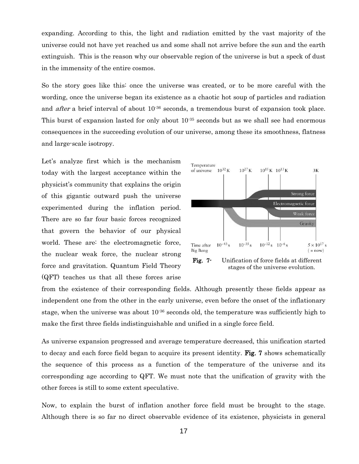expanding. According to this, the light and radiation emitted by the vast majority of the universe could not have yet reached us and some shall not arrive before the sun and the earth extinguish. This is the reason why our observable region of the universe is but a speck of dust in the immensity of the entire cosmos.

So the story goes like this: once the universe was created, or to be more careful with the wording, once the universe began its existence as a chaotic hot soup of particles and radiation and *after* a brief interval of about 10<sup>-36</sup> seconds, a tremendous burst of expansion took place. This burst of expansion lasted for only about  $10^{-35}$  seconds but as we shall see had enormous consequences in the succeeding evolution of our universe, among these its smoothness, flatness and large-scale isotropy.

Let's analyze first which is the mechanism today with the largest acceptance within the physicist's community that explains the origin of this gigantic outward push the universe experimented during the inflation period. There are so far four basic forces recognized that govern the behavior of our physical world. These are: the electromagnetic force, the nuclear weak force, the nuclear strong force and gravitation. Quantum Field Theory (QFT) teaches us that all these forces arise



from the existence of their corresponding fields. Although presently these fields appear as independent one from the other in the early universe, even before the onset of the inflationary stage, when the universe was about  $10^{-36}$  seconds old, the temperature was sufficiently high to make the first three fields indistinguishable and unified in a single force field.

As universe expansion progressed and average temperature decreased, this unification started to decay and each force field began to acquire its present identity. Fig. 7 shows schematically the sequence of this process as a function of the temperature of the universe and its corresponding age according to QFT. We must note that the unification of gravity with the other forces is still to some extent speculative.

Now, to explain the burst of inflation another force field must be brought to the stage. Although there is so far no direct observable evidence of its existence, physicists in general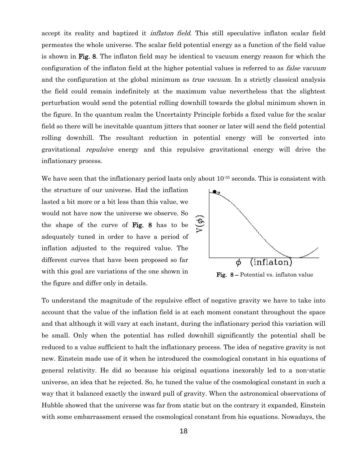accept its reality and baptized it *inflaton field*. This still speculative inflaton scalar field permeates the whole universe. The scalar field potential energy as a function of the field value is shown in Fig. 8. The inflaton field may be identical to vacuum energy reason for which the configuration of the inflaton field at the higher potential values is referred to as *false vacuum* and the configuration at the global minimum as *true vacuum*. In a strictly classical analysis the field could remain indefinitely at the maximum value nevertheless that the slightest perturbation would send the potential rolling downhill towards the global minimum shown in the figure. In the quantum realm the Uncertainty Principle forbids a fixed value for the scalar field so there will be inevitable quantum jitters that sooner or later will send the field potential rolling downhill. The resultant reduction in potential energy will be converted into gravitational repulsive energy and this repulsive gravitational energy will drive the inflationary process.

We have seen that the inflationary period lasts only about  $10^{-35}$  seconds. This is consistent with

the structure of our universe. Had the inflation lasted a bit more or a bit less than this value, we would not have now the universe we observe. So the shape of the curve of Fig. 8 has to be adequately tuned in order to have a period of inflation adjusted to the required value. The different curves that have been proposed so far with this goal are variations of the one shown in the figure and differ only in details.



Fig. 8 – Potential vs. inflaton value

To understand the magnitude of the repulsive effect of negative gravity we have to take into account that the value of the inflation field is at each moment constant throughout the space and that although it will vary at each instant, during the inflationary period this variation will be small. Only when the potential has rolled downhill significantly the potential shall be reduced to a value sufficient to halt the inflationary process. The idea of negative gravity is not new. Einstein made use of it when he introduced the cosmological constant in his equations of general relativity. He did so because his original equations inexorably led to a non-static universe, an idea that he rejected. So, he tuned the value of the cosmological constant in such a way that it balanced exactly the inward pull of gravity. When the astronomical observations of Hubble showed that the universe was far from static but on the contrary it expanded, Einstein with some embarrassment erased the cosmological constant from his equations. Nowadays, the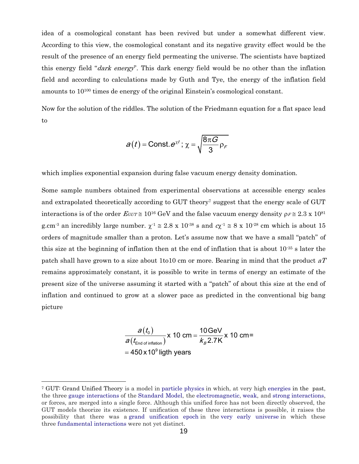idea of a cosmological constant has been revived but under a somewhat different view. According to this view, the cosmological constant and its negative gravity effect would be the result of the presence of an energy field permeating the universe. The scientists have baptized this energy field "dark energy". This dark energy field would be no other than the inflation field and according to calculations made by Guth and Tye, the energy of the inflation field amounts to 10<sup>100</sup> times de energy of the original Einstein's cosmological constant.

Now for the solution of the riddles. The solution of the Friedmann equation for a flat space lead to

$$
a(t) = \text{Const.} \, e^{\chi t} \, ; \, \chi = \sqrt{\frac{8\pi G}{3} \, \rho_F}
$$

which implies exponential expansion during false vacuum energy density domination.

Some sample numbers obtained from experimental observations at accessible energy scales and extrapolated theoretically according to GUT theory<sup>7</sup> suggest that the energy scale of GUT interactions is of the order  $E_{GUT} \cong 10^{16}$  GeV and the false vacuum energy density  $\rho_F \cong 2.3 \times 10^{81}$ g.cm<sup>-3</sup> an incredibly large number.  $\chi^1 \approx 2.8 \times 10^{-38}$  s and  $c\chi^1 \approx 8 \times 10^{-28}$  cm which is about 15 orders of magnitude smaller than a proton. Let's assume now that we have a small "patch" of this size at the beginning of inflation then at the end of inflation that is about  $10^{-35}$  s later the patch shall have grown to a size about 1to10 cm or more. Bearing in mind that the product  $aT$ remains approximately constant, it is possible to write in terms of energy an estimate of the present size of the universe assuming it started with a "patch" of about this size at the end of inflation and continued to grow at a slower pace as predicted in the conventional big bang picture

$$
\frac{a(t_0)}{a(t_{\text{End of inflation}})} \times 10 \text{ cm} = \frac{10 \text{ GeV}}{k_B 2.7 \text{K}} \times 10 \text{ cm} =
$$
  
= 450 x 10<sup>9</sup> light years

<sup>7</sup> GUT: Grand Unified Theory is a model in [particle physics](https://en.wikipedia.org/wiki/Particle_physics) in which, at very high [energies](https://en.wikipedia.org/wiki/Energy) in the past, the three [gauge interactions](https://en.wikipedia.org/wiki/Gauge_theory) of the [Standard Model,](https://en.wikipedia.org/wiki/Standard_Model) the [electromagnetic,](https://en.wikipedia.org/wiki/Electromagnetism) [weak,](https://en.wikipedia.org/wiki/Weak_interaction) and [strong](https://en.wikipedia.org/wiki/Strong_interaction) [interactions,](https://en.wikipedia.org/wiki/Fundamental_interaction) or forces, are merged into a single force. Although this unified force has not been directly observed, the GUT models theorize its existence. If unification of these three interactions is possible, it raises the possibility that there was a [grand unification epoch](https://en.wikipedia.org/wiki/Grand_unification_epoch) in the [very early universe](https://en.wikipedia.org/wiki/Very_early_universe) in which these three [fundamental interactions](https://en.wikipedia.org/wiki/Fundamental_interactions) were not yet distinct.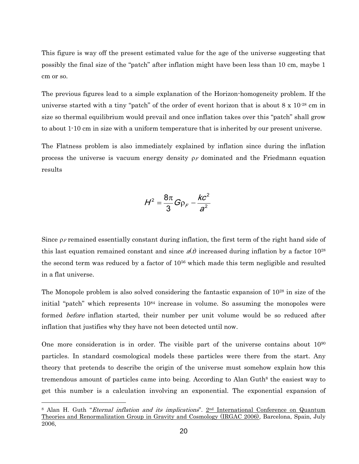This figure is way off the present estimated value for the age of the universe suggesting that possibly the final size of the "patch" after inflation might have been less than 10 cm, maybe 1 cm or so.

The previous figures lead to a simple explanation of the Horizon-homogeneity problem. If the universe started with a tiny "patch" of the order of event horizon that is about 8 x 10-28 cm in size so thermal equilibrium would prevail and once inflation takes over this "patch" shall grow to about 1-10 cm in size with a uniform temperature that is inherited by our present universe.

The Flatness problem is also immediately explained by inflation since during the inflation process the universe is vacuum energy density  $\rho_F$  dominated and the Friedmann equation results

$$
H^2=\frac{8\pi}{3}G\rho_F-\frac{kc^2}{a^2}
$$

Since  $\rho_F$  remained essentially constant during inflation, the first term of the right hand side of this last equation remained constant and since  $a(t)$  increased during inflation by a factor 10<sup>28</sup> the second term was reduced by a factor of 10<sup>56</sup> which made this term negligible and resulted in a flat universe.

The Monopole problem is also solved considering the fantastic expansion of  $10^{28}$  in size of the initial "patch" which represents  $10^{84}$  increase in volume. So assuming the monopoles were formed *before* inflation started, their number per unit volume would be so reduced after inflation that justifies why they have not been detected until now.

One more consideration is in order. The visible part of the universe contains about  $10^{90}$ particles. In standard cosmological models these particles were there from the start. Any theory that pretends to describe the origin of the universe must somehow explain how this tremendous amount of particles came into being. According to Alan Guth<sup>8</sup> the easiest way to get this number is a calculation involving an exponential. The exponential expansion of  $H^2 = \frac{8\pi}{3} G \rho_F - \frac{kc^2}{a^2}$ <br>Since  $\rho_F$  remained essentially constant during inflation,<br>this last equation remained constant and since  $a(b)$  incite<br>second term was reduced by a factor of 10<sup>56</sup> which i<br>in a flat unive

<sup>&</sup>lt;sup>8</sup> Alan H. Guth "*Eternal inflation and its implications*".  $2<sup>nd</sup>$  International Conference on Quantum Theories and Renormalization Group in Gravity and Cosmology (IRGAC 2006), Barcelona, Spain, July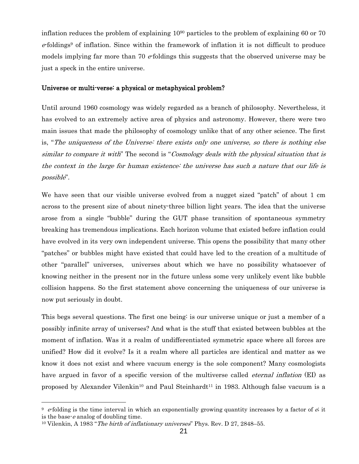inflation reduces the problem of explaining 10<sup>90</sup> particles to the problem of explaining 60 or 70  $e$ -foldings<sup>9</sup> of inflation. Since within the framework of inflation it is not difficult to produce models implying far more than 70  $e$  foldings this suggests that the observed universe may be just a speck in the entire universe.

### Universe or multi-verse: a physical or metaphysical problem?

Until around 1960 cosmology was widely regarded as a branch of philosophy. Nevertheless, it has evolved to an extremely active area of physics and astronomy. However, there were two main issues that made the philosophy of cosmology unlike that of any other science. The first is, "The uniqueness of the Universe: there exists only one universe, so there is nothing else similar to compare it with" The second is "Cosmology deals with the physical situation that is the context in the large for human existence: the universe has such a nature that our life is possible".

We have seen that our visible universe evolved from a nugget sized "patch" of about 1 cm across to the present size of about ninety-three billion light years. The idea that the universe arose from a single "bubble" during the GUT phase transition of spontaneous symmetry breaking has tremendous implications. Each horizon volume that existed before inflation could have evolved in its very own independent universe. This opens the possibility that many other "patches" or bubbles might have existed that could have led to the creation of a multitude of other "parallel" universes, universes about which we have no possibility whatsoever of knowing neither in the present nor in the future unless some very unlikely event like bubble collision happens. So the first statement above concerning the uniqueness of our universe is now put seriously in doubt.

This begs several questions. The first one being: is our universe unique or just a member of a possibly infinite array of universes? And what is the stuff that existed between bubbles at the moment of inflation. Was it a realm of undifferentiated symmetric space where all forces are unified? How did it evolve? Is it a realm where all particles are identical and matter as we know it does not exist and where vacuum energy is the sole component? Many cosmologists have argued in favor of a specific version of the multiverse called *eternal inflation* (EI) as proposed by Alexander Vilenkin<sup>10</sup> and Paul Steinhardt<sup>11</sup> in 1983. Although false vacuum is a

 $\overline{a}$ 

 $9$  e-folding is the time interval in which an [exponentially growing](https://en.wikipedia.org/wiki/Exponential_growth) quantity incr[e](https://en.wikipedia.org/wiki/E_(mathematical_constant))ases by a factor of  $\ddot{e}$ , it is the base- $e$  analog of [doubling time.](https://en.wikipedia.org/wiki/Doubling_time)

<sup>&</sup>lt;sup>10</sup> Vilenkin, A 1983 "*The birth of inflationary universes*" Phys. Rev. D 27, 2848–55.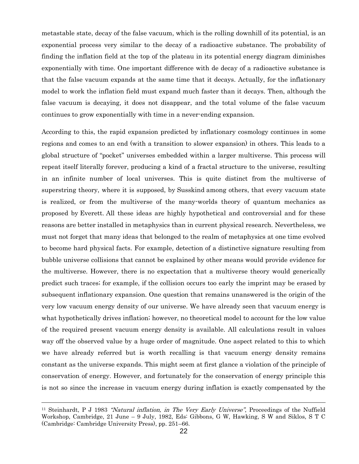metastable state, decay of the false vacuum, which is the rolling downhill of its potential, is an exponential process very similar to the decay of a radioactive substance. The probability of finding the inflation field at the top of the plateau in its potential energy diagram diminishes exponentially with time. One important difference with de decay of a radioactive substance is that the false vacuum expands at the same time that it decays. Actually, for the inflationary model to work the inflation field must expand much faster than it decays. Then, although the false vacuum is decaying, it does not disappear, and the total volume of the false vacuum continues to grow exponentially with time in a never-ending expansion.

According to this, the rapid expansion predicted by inflationary cosmology continues in some regions and comes to an end (with a transition to slower expansion) in others. This leads to a global structure of "pocket" universes embedded within a larger multiverse. This process will repeat itself literally forever, producing a kind of a fractal structure to the universe, resulting in an infinite number of local universes. This is quite distinct from the multiverse of superstring theory, where it is supposed, by [Susskind](http://philosophy-of-cosmology.ox.ac.uk/susskind.html) among others, that every vacuum state is realized, or from the multiverse of the many-worlds theory of quantum mechanics as proposed by [Everett.](http://philosophy-of-cosmology.ox.ac.uk/everett.html) All these ideas are highly hypothetical and controversial and for these reasons are better installed in metaphysics than in current physical research. Nevertheless, we must not forget that many ideas that belonged to the realm of metaphysics at one time evolved to become hard physical facts. For example, detection of a distinctive signature resulting from bubble universe collisions that cannot be explained by other means would provide evidence for the multiverse. However, there is no expectation that a multiverse theory would generically predict such traces; for example, if the collision occurs too early the imprint may be erased by subsequent inflationary expansion. One question that remains unanswered is the origin of the very low vacuum energy density of our universe. We have already seen that vacuum energy is what hypothetically drives inflation; however, no theoretical model to account for the low value of the required present vacuum energy density is available. All calculations result in values way off the observed value by a huge order of magnitude. One aspect related to this to which we have already referred but is worth recalling is that vacuum energy density remains constant as the universe expands. This might seem at first glance a violation of the principle of conservation of energy. However, and fortunately for the conservation of energy principle this is not so since the increase in vacuum energy during inflation is exactly compensated by the

<sup>&</sup>lt;sup>11</sup> Steinhardt, P J 1983 *"Natural inflation, in The Very Early Universe*", Proceedings of the Nuffield Workshop, Cambridge, 21 June – 9 July, 1982, Eds: Gibbons, G W, Hawking, S W and Siklos, S T C (Cambridge: Cambridge University Press), pp. 251–66.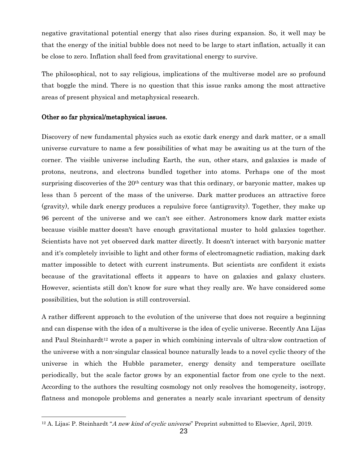negative gravitational potential energy that also rises during expansion. So, it well may be that the energy of the initial bubble does not need to be large to start inflation, actually it can be close to zero. Inflation shall feed from gravitational energy to survive.

The philosophical, not to say religious, implications of the multiverse model are so profound that boggle the mind. There is no question that this issue ranks among the most attractive areas of present physical and metaphysical research.

#### Other so far physical/metaphysical issues.

l

Discovery of new fundamental physics such as exotic dark energy and dark matter, or a small universe curvature to name a few possibilities of what may be awaiting us at the turn of the corner. The visible universe including Earth, the sun, other [stars,](http://science.nationalgeographic.com/science/space/universe/stars-article) and [galaxies](http://science.nationalgeographic.com/science/space/universe/galaxies-article) is made of protons, neutrons, and electrons bundled together into atoms. Perhaps one of the most surprising discoveries of the 20<sup>th</sup> century was that this ordinary, or baryonic matter, makes up less than 5 percent of the mass of the [universe.](http://www.nationalgeographic.com/science/space/universe/origins-of-the-universe/) Dark matter produces an attractive force (gravity), while dark energy produces a repulsive force (antigravity). Together, they make up 96 percent of the universe and we can't see either. Astronomers know dark matter exists because visible matter doesn't have enough gravitational muster to hold galaxies together. Scientists have not yet observed dark matter directly. It doesn't interact with baryonic matter and it's completely invisible to light and other forms of electromagnetic radiation, making dark matter impossible to detect with current instruments. But scientists are confident it exists because of the gravitational effects it appears to have on galaxies and galaxy clusters. However, scientists still don't know for sure what they really are. We have considered some possibilities, but the solution is still controversial.

A rather different approach to the evolution of the universe that does not require a beginning and can dispense with the idea of a multiverse is the idea of cyclic universe. Recently Ana Lijas and Paul Steinhardt<sup>12</sup> wrote a paper in which combining intervals of ultra-slow contraction of the universe with a non-singular classical bounce naturally leads to a novel cyclic theory of the universe in which the Hubble parameter, energy density and temperature oscillate periodically, but the scale factor grows by an exponential factor from one cycle to the next. According to the authors the resulting cosmology not only resolves the homogeneity, isotropy, flatness and monopole problems and generates a nearly scale invariant spectrum of density

<sup>&</sup>lt;sup>12</sup> A. Lijas; P. Steinhardt "A new kind of cyclic universe" Preprint submitted to Elsevier, April, 2019.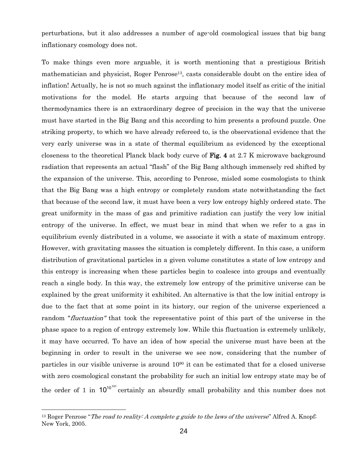perturbations, but it also addresses a number of age-old cosmological issues that big bang inflationary cosmology does not.

To make things even more arguable, it is worth mentioning that a prestigious British mathematician and physicist, Roger Penrose<sup>13</sup>, casts considerable doubt on the entire idea of inflation! Actually, he is not so much against the inflationary model itself as critic of the initial motivations for the model. He starts arguing that because of the second law of thermodynamics there is an extraordinary degree of precision in the way that the universe must have started in the Big Bang and this according to him presents a profound puzzle. One striking property, to which we have already refereed to, is the observational evidence that the very early universe was in a state of thermal equilibrium as evidenced by the exceptional closeness to the theoretical Planck black body curve of Fig. 4 at 2.7 K microwave background radiation that represents an actual "flash" of the Big Bang although immensely red shifted by the expansion of the universe. This, according to Penrose, misled some cosmologists to think that the Big Bang was a high entropy or completely random state notwithstanding the fact that because of the second law, it must have been a very low entropy highly ordered state. The great uniformity in the mass of gas and primitive radiation can justify the very low initial entropy of the universe. In effect, we must bear in mind that when we refer to a gas in equilibrium evenly distributed in a volume, we associate it with a state of maximum entropy. However, with gravitating masses the situation is completely different. In this case, a uniform distribution of gravitational particles in a given volume constitutes a state of low entropy and this entropy is increasing when these particles begin to coalesce into groups and eventually reach a single body. In this way, the extremely low entropy of the primitive universe can be explained by the great uniformity it exhibited. An alternative is that the low initial entropy is due to the fact that at some point in its history, our region of the universe experienced a random "*fluctuation*" that took the representative point of this part of the universe in the phase space to a region of entropy extremely low. While this fluctuation is extremely unlikely, it may have occurred. To have an idea of how special the universe must have been at the beginning in order to result in the universe we see now, considering that the number of particles in our visible universe is around  $10<sup>90</sup>$  it can be estimated that for a closed universe with zero cosmological constant the probability for such an initial low entropy state may be of the order of 1 in  $10^{10^{101}}$  certainly an absurdly small probability and this number does not

<sup>&</sup>lt;sup>13</sup> Roger Penrose "The road to reality: A complete g guide to the laws of the universe" Alfred A. Knopf; New York, 2005.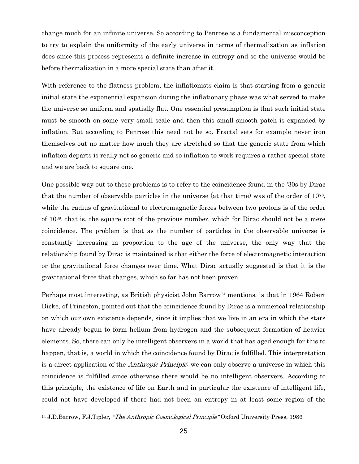change much for an infinite universe. So according to Penrose is a fundamental misconception to try to explain the uniformity of the early universe in terms of thermalization as inflation does since this process represents a definite increase in entropy and so the universe would be before thermalization in a more special state than after it.

With reference to the flatness problem, the inflationists claim is that starting from a generic initial state the exponential expansion during the inflationary phase was what served to make the universe so uniform and spatially flat. One essential presumption is that such initial state must be smooth on some very small scale and then this small smooth patch is expanded by inflation. But according to Penrose this need not be so. Fractal sets for example never iron themselves out no matter how much they are stretched so that the generic state from which inflation departs is really not so generic and so inflation to work requires a rather special state and we are back to square one.

One possible way out to these problems is to refer to the coincidence found in the '30s by Dirac that the number of observable particles in the universe (at that time) was of the order of 10<sup>78</sup> , while the radius of gravitational to electromagnetic forces between two protons is of the order of 1039, that is, the square root of the previous number, which for Dirac should not be a mere coincidence. The problem is that as the number of particles in the observable universe is constantly increasing in proportion to the age of the universe, the only way that the relationship found by Dirac is maintained is that either the force of electromagnetic interaction or the gravitational force changes over time. What Dirac actually suggested is that it is the gravitational force that changes, which so far has not been proven.

Perhaps most interesting, as British physicist John Barrow<sup>14</sup> mentions, is that in 1964 Robert Dicke, of Princeton, pointed out that the coincidence found by Dirac is a numerical relationship on which our own existence depends, since it implies that we live in an era in which the stars have already begun to form helium from hydrogen and the subsequent formation of heavier elements. So, there can only be intelligent observers in a world that has aged enough for this to happen, that is, a world in which the coincidence found by Dirac is fulfilled. This interpretation is a direct application of the *Anthropic Principle*: we can only observe a universe in which this coincidence is fulfilled since otherwise there would be no intelligent observers. According to this principle, the existence of life on Earth and in particular the existence of intelligent life, could not have developed if there had not been an entropy in at least some region of the

<sup>&</sup>lt;sup>14</sup> J.D.Barrow, F.J.Tipler, "The Anthropic Cosmological Principle" Oxford University Press, 1986